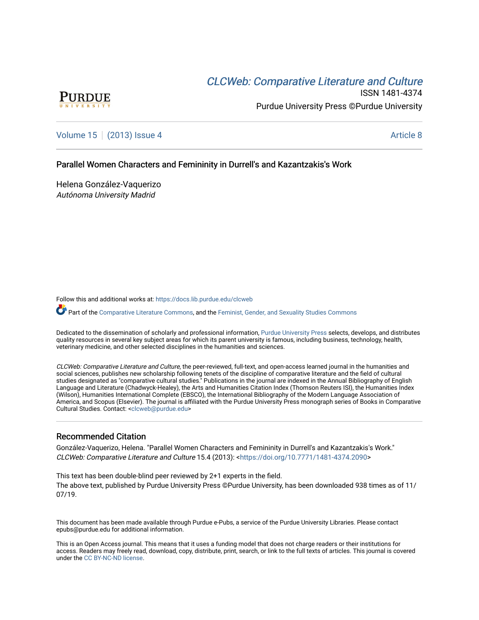# CLCW[eb: Comparative Liter](https://docs.lib.purdue.edu/clcweb)ature and Culture



ISSN 1481-4374 Purdue University Press ©Purdue University

[Volume 15](https://docs.lib.purdue.edu/clcweb/vol15) | [\(2013\) Issue 4](https://docs.lib.purdue.edu/clcweb/vol15/iss4) Article 8

# Parallel Women Characters and Femininity in Durrell's and Kazantzakis's Work

Helena González-Vaquerizo Autónoma University Madrid

Follow this and additional works at: [https://docs.lib.purdue.edu/clcweb](https://docs.lib.purdue.edu/clcweb?utm_source=docs.lib.purdue.edu%2Fclcweb%2Fvol15%2Fiss4%2F8&utm_medium=PDF&utm_campaign=PDFCoverPages)

Part of the [Comparative Literature Commons,](http://network.bepress.com/hgg/discipline/454?utm_source=docs.lib.purdue.edu%2Fclcweb%2Fvol15%2Fiss4%2F8&utm_medium=PDF&utm_campaign=PDFCoverPages) and the [Feminist, Gender, and Sexuality Studies Commons](http://network.bepress.com/hgg/discipline/559?utm_source=docs.lib.purdue.edu%2Fclcweb%2Fvol15%2Fiss4%2F8&utm_medium=PDF&utm_campaign=PDFCoverPages)

Dedicated to the dissemination of scholarly and professional information, [Purdue University Press](http://www.thepress.purdue.edu/) selects, develops, and distributes quality resources in several key subject areas for which its parent university is famous, including business, technology, health, veterinary medicine, and other selected disciplines in the humanities and sciences.

CLCWeb: Comparative Literature and Culture, the peer-reviewed, full-text, and open-access learned journal in the humanities and social sciences, publishes new scholarship following tenets of the discipline of comparative literature and the field of cultural studies designated as "comparative cultural studies." Publications in the journal are indexed in the Annual Bibliography of English Language and Literature (Chadwyck-Healey), the Arts and Humanities Citation Index (Thomson Reuters ISI), the Humanities Index (Wilson), Humanities International Complete (EBSCO), the International Bibliography of the Modern Language Association of America, and Scopus (Elsevier). The journal is affiliated with the Purdue University Press monograph series of Books in Comparative Cultural Studies. Contact: [<clcweb@purdue.edu](mailto:clcweb@purdue.edu)>

## Recommended Citation

González-Vaquerizo, Helena. "Parallel Women Characters and Femininity in Durrell's and Kazantzakis's Work." CLCWeb: Comparative Literature and Culture 15.4 (2013): <[https://doi.org/10.7771/1481-4374.2090>](https://doi.org/10.7771/1481-4374.2090)

This text has been double-blind peer reviewed by 2+1 experts in the field. The above text, published by Purdue University Press ©Purdue University, has been downloaded 938 times as of 11/ 07/19.

This document has been made available through Purdue e-Pubs, a service of the Purdue University Libraries. Please contact epubs@purdue.edu for additional information.

This is an Open Access journal. This means that it uses a funding model that does not charge readers or their institutions for access. Readers may freely read, download, copy, distribute, print, search, or link to the full texts of articles. This journal is covered under the [CC BY-NC-ND license.](https://creativecommons.org/licenses/by-nc-nd/4.0/)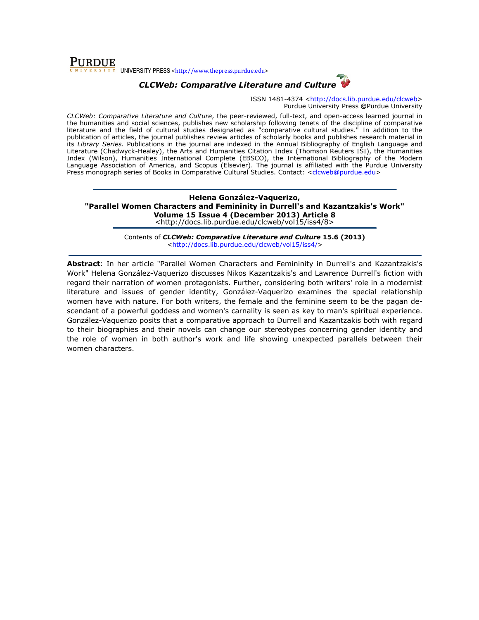**PURDUE** v UNIVERSITY PRESS <http://www.thepress.purdue.edu>

# CLCWeb: Comparative Literature and Culture

ISSN 1481-4374 <http://docs.lib.purdue.edu/clcweb> Purdue University Press ©Purdue University

CLCWeb: Comparative Literature and Culture, the peer-reviewed, full-text, and open-access learned journal in the humanities and social sciences, publishes new scholarship following tenets of the discipline of comparative literature and the field of cultural studies designated as "comparative cultural studies." In addition to the publication of articles, the journal publishes review articles of scholarly books and publishes research material in its Library Series. Publications in the journal are indexed in the Annual Bibliography of English Language and Literature (Chadwyck-Healey), the Arts and Humanities Citation Index (Thomson Reuters ISI), the Humanities Index (Wilson), Humanities International Complete (EBSCO), the International Bibliography of the Modern Language Association of America, and Scopus (Elsevier). The journal is affiliated with the Purdue University Press monograph series of Books in Comparative Cultural Studies. Contact: <clcweb@purdue.edu>

Helena González-Vaquerizo, "Parallel Women Characters and Femininity in Durrell's and Kazantzakis's Work" Volume 15 Issue 4 (December 2013) Article 8 <http://docs.lib.purdue.edu/clcweb/vol15/iss4/8>

> Contents of CLCWeb: Comparative Literature and Culture 15.6 (2013) <http://docs.lib.purdue.edu/clcweb/vol15/iss4/>

Abstract: In her article "Parallel Women Characters and Femininity in Durrell's and Kazantzakis's Work" Helena González-Vaquerizo discusses Nikos Kazantzakis's and Lawrence Durrell's fiction with regard their narration of women protagonists. Further, considering both writers' role in a modernist literature and issues of gender identity, González-Vaquerizo examines the special relationship women have with nature. For both writers, the female and the feminine seem to be the pagan descendant of a powerful goddess and women's carnality is seen as key to man's spiritual experience. González-Vaquerizo posits that a comparative approach to Durrell and Kazantzakis both with regard to their biographies and their novels can change our stereotypes concerning gender identity and the role of women in both author's work and life showing unexpected parallels between their women characters.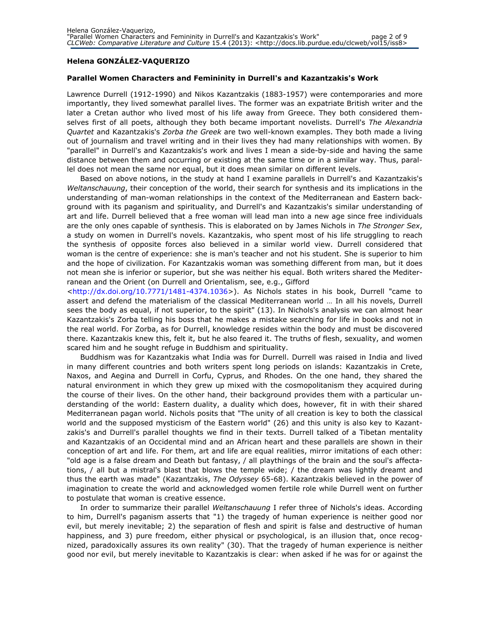### Helena GONZÁLEZ-VAQUERIZO

### Parallel Women Characters and Femininity in Durrell's and Kazantzakis's Work

Lawrence Durrell (1912-1990) and Nikos Kazantzakis (1883-1957) were contemporaries and more importantly, they lived somewhat parallel lives. The former was an expatriate British writer and the later a Cretan author who lived most of his life away from Greece. They both considered themselves first of all poets, although they both became important novelists. Durrell's The Alexandria Quartet and Kazantzakis's Zorba the Greek are two well-known examples. They both made a living out of journalism and travel writing and in their lives they had many relationships with women. By "parallel" in Durrell's and Kazantzakis's work and lives I mean a side-by-side and having the same distance between them and occurring or existing at the same time or in a similar way. Thus, parallel does not mean the same nor equal, but it does mean similar on different levels.

Based on above notions, in the study at hand I examine parallels in Durrell's and Kazantzakis's Weltanschauung, their conception of the world, their search for synthesis and its implications in the understanding of man-woman relationships in the context of the Mediterranean and Eastern background with its paganism and spirituality, and Durrell's and Kazantzakis's similar understanding of art and life. Durrell believed that a free woman will lead man into a new age since free individuals are the only ones capable of synthesis. This is elaborated on by James Nichols in The Stronger Sex, a study on women in Durrell's novels. Kazantzakis, who spent most of his life struggling to reach the synthesis of opposite forces also believed in a similar world view. Durrell considered that woman is the centre of experience: she is man's teacher and not his student. She is superior to him and the hope of civilization. For Kazantzakis woman was something different from man, but it does not mean she is inferior or superior, but she was neither his equal. Both writers shared the Mediterranean and the Orient (on Durrell and Orientalism, see, e.g., Gifford

<http://dx.doi.org/10.7771/1481-4374.1036>). As Nichols states in his book, Durrell "came to assert and defend the materialism of the classical Mediterranean world … In all his novels, Durrell sees the body as equal, if not superior, to the spirit" (13). In Nichols's analysis we can almost hear Kazantzakis's Zorba telling his boss that he makes a mistake searching for life in books and not in the real world. For Zorba, as for Durrell, knowledge resides within the body and must be discovered there. Kazantzakis knew this, felt it, but he also feared it. The truths of flesh, sexuality, and women scared him and he sought refuge in Buddhism and spirituality.

Buddhism was for Kazantzakis what India was for Durrell. Durrell was raised in India and lived in many different countries and both writers spent long periods on islands: Kazantzakis in Crete, Naxos, and Aegina and Durrell in Corfu, Cyprus, and Rhodes. On the one hand, they shared the natural environment in which they grew up mixed with the cosmopolitanism they acquired during the course of their lives. On the other hand, their background provides them with a particular understanding of the world: Eastern duality, a duality which does, however, fit in with their shared Mediterranean pagan world. Nichols posits that "The unity of all creation is key to both the classical world and the supposed mysticism of the Eastern world" (26) and this unity is also key to Kazantzakis's and Durrell's parallel thoughts we find in their texts. Durrell talked of a Tibetan mentality and Kazantzakis of an Occidental mind and an African heart and these parallels are shown in their conception of art and life. For them, art and life are equal realities, mirror imitations of each other: "old age is a false dream and Death but fantasy, / all playthings of the brain and the soul's affectations, / all but a mistral's blast that blows the temple wide; / the dream was lightly dreamt and thus the earth was made" (Kazantzakis, The Odyssey 65-68). Kazantzakis believed in the power of imagination to create the world and acknowledged women fertile role while Durrell went on further to postulate that woman is creative essence.

In order to summarize their parallel Weltanschauung I refer three of Nichols's ideas. According to him, Durrell's paganism asserts that "1) the tragedy of human experience is neither good nor evil, but merely inevitable; 2) the separation of flesh and spirit is false and destructive of human happiness, and 3) pure freedom, either physical or psychological, is an illusion that, once recognized, paradoxically assures its own reality" (30). That the tragedy of human experience is neither good nor evil, but merely inevitable to Kazantzakis is clear: when asked if he was for or against the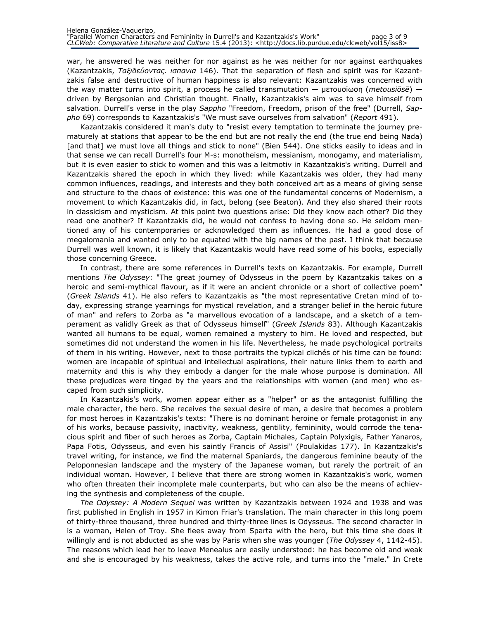war, he answered he was neither for nor against as he was neither for nor against earthquakes (Kazantzakis, Ταξιδεύοντας. ισπανια 146). That the separation of flesh and spirit was for Kazantzakis false and destructive of human happiness is also relevant: Kazantzakis was concerned with the way matter turns into spirit, a process he called transmutation  $-$  μετουσίωση (*metousiōsē*)  $$ driven by Bergsonian and Christian thought. Finally, Kazantzakis's aim was to save himself from salvation. Durrell's verse in the play Sappho "Freedom, Freedom, prison of the free" (Durrell, Sappho 69) corresponds to Kazantzakis's "We must save ourselves from salvation" (Report 491).

Kazantzakis considered it man's duty to "resist every temptation to terminate the journey prematurely at stations that appear to be the end but are not really the end (the true end being Nada) [and that] we must love all things and stick to none" (Bien 544). One sticks easily to ideas and in that sense we can recall Durrell's four M-s: monotheism, messianism, monogamy, and materialism, but it is even easier to stick to women and this was a leitmotiv in Kazantzakis's writing. Durrell and Kazantzakis shared the epoch in which they lived: while Kazantzakis was older, they had many common influences, readings, and interests and they both conceived art as a means of giving sense and structure to the chaos of existence: this was one of the fundamental concerns of Modernism, a movement to which Kazantzakis did, in fact, belong (see Beaton). And they also shared their roots in classicism and mysticism. At this point two questions arise: Did they know each other? Did they read one another? If Kazantzakis did, he would not confess to having done so. He seldom mentioned any of his contemporaries or acknowledged them as influences. He had a good dose of megalomania and wanted only to be equated with the big names of the past. I think that because Durrell was well known, it is likely that Kazantzakis would have read some of his books, especially those concerning Greece.

In contrast, there are some references in Durrell's texts on Kazantzakis. For example, Durrell mentions The Odyssey: "The great journey of Odysseus in the poem by Kazantzakis takes on a heroic and semi-mythical flavour, as if it were an ancient chronicle or a short of collective poem" (Greek Islands 41). He also refers to Kazantzakis as "the most representative Cretan mind of today, expressing strange yearnings for mystical revelation, and a stranger belief in the heroic future of man" and refers to Zorba as "a marvellous evocation of a landscape, and a sketch of a temperament as validly Greek as that of Odysseus himself" (Greek Islands 83). Although Kazantzakis wanted all humans to be equal, women remained a mystery to him. He loved and respected, but sometimes did not understand the women in his life. Nevertheless, he made psychological portraits of them in his writing. However, next to those portraits the typical clichés of his time can be found: women are incapable of spiritual and intellectual aspirations, their nature links them to earth and maternity and this is why they embody a danger for the male whose purpose is domination. All these prejudices were tinged by the years and the relationships with women (and men) who escaped from such simplicity.

In Kazantzakis's work, women appear either as a "helper" or as the antagonist fulfilling the male character, the hero. She receives the sexual desire of man, a desire that becomes a problem for most heroes in Kazantzakis's texts: "There is no dominant heroine or female protagonist in any of his works, because passivity, inactivity, weakness, gentility, femininity, would corrode the tenacious spirit and fiber of such heroes as Zorba, Captain Michales, Captain Polyxigis, Father Yanaros, Papa Fotis, Odysseus, and even his saintly Francis of Assisi" (Poulakidas 177). In Kazantzakis's travel writing, for instance, we find the maternal Spaniards, the dangerous feminine beauty of the Peloponnesian landscape and the mystery of the Japanese woman, but rarely the portrait of an individual woman. However, I believe that there are strong women in Kazantzakis's work, women who often threaten their incomplete male counterparts, but who can also be the means of achieving the synthesis and completeness of the couple.

The Odyssey: A Modern Sequel was written by Kazantzakis between 1924 and 1938 and was first published in English in 1957 in Kimon Friar's translation. The main character in this long poem of thirty-three thousand, three hundred and thirty-three lines is Odysseus. The second character in is a woman, Helen of Troy. She flees away from Sparta with the hero, but this time she does it willingly and is not abducted as she was by Paris when she was younger (The Odyssey 4, 1142-45). The reasons which lead her to leave Menealus are easily understood: he has become old and weak and she is encouraged by his weakness, takes the active role, and turns into the "male." In Crete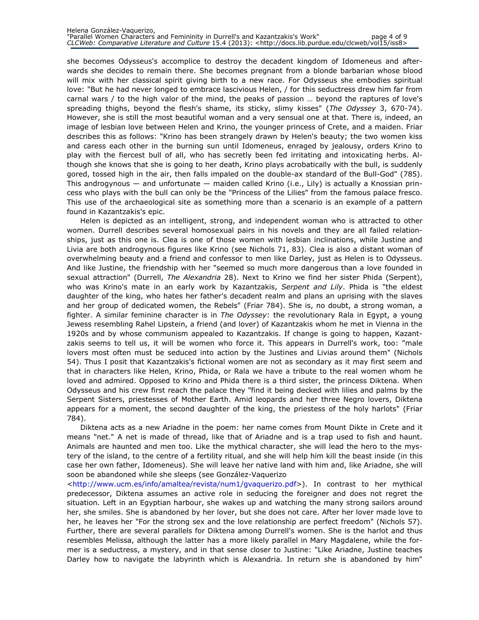she becomes Odysseus's accomplice to destroy the decadent kingdom of Idomeneus and afterwards she decides to remain there. She becomes pregnant from a blonde barbarian whose blood will mix with her classical spirit giving birth to a new race. For Odysseus she embodies spiritual love: "But he had never longed to embrace lascivious Helen, / for this seductress drew him far from carnal wars / to the high valor of the mind, the peaks of passion … beyond the raptures of love's spreading thighs, beyond the flesh's shame, its sticky, slimy kisses" (The Odyssey 3, 670-74). However, she is still the most beautiful woman and a very sensual one at that. There is, indeed, an image of lesbian love between Helen and Krino, the younger princess of Crete, and a maiden. Friar describes this as follows: "Krino has been strangely drawn by Helen's beauty; the two women kiss and caress each other in the burning sun until Idomeneus, enraged by jealousy, orders Krino to play with the fiercest bull of all, who has secretly been fed irritating and intoxicating herbs. Although she knows that she is going to her death, Krino plays acrobatically with the bull, is suddenly gored, tossed high in the air, then falls impaled on the double-ax standard of the Bull-God" (785). This androgynous  $-$  and unfortunate  $-$  maiden called Krino (i.e., Lily) is actually a Knossian princess who plays with the bull can only be the "Princess of the Lilies" from the famous palace fresco. This use of the archaeological site as something more than a scenario is an example of a pattern found in Kazantzakis's epic.

Helen is depicted as an intelligent, strong, and independent woman who is attracted to other women. Durrell describes several homosexual pairs in his novels and they are all failed relationships, just as this one is. Clea is one of those women with lesbian inclinations, while Justine and Livia are both androgynous figures like Krino (see Nichols 71, 83). Clea is also a distant woman of overwhelming beauty and a friend and confessor to men like Darley, just as Helen is to Odysseus. And like Justine, the friendship with her "seemed so much more dangerous than a love founded in sexual attraction" (Durrell, The Alexandria 28). Next to Krino we find her sister Phida (Serpent), who was Krino's mate in an early work by Kazantzakis, Serpent and Lily. Phida is "the eldest daughter of the king, who hates her father's decadent realm and plans an uprising with the slaves and her group of dedicated women, the Rebels" (Friar 784). She is, no doubt, a strong woman, a fighter. A similar feminine character is in *The Odyssey*: the revolutionary Rala in Egypt, a young Jewess resembling Rahel Lipstein, a friend (and lover) of Kazantzakis whom he met in Vienna in the 1920s and by whose communism appealed to Kazantzakis. If change is going to happen, Kazantzakis seems to tell us, it will be women who force it. This appears in Durrell's work, too: "male lovers most often must be seduced into action by the Justines and Livias around them" (Nichols 54). Thus I posit that Kazantzakis's fictional women are not as secondary as it may first seem and that in characters like Helen, Krino, Phida, or Rala we have a tribute to the real women whom he loved and admired. Opposed to Krino and Phida there is a third sister, the princess Diktena. When Odysseus and his crew first reach the palace they "find it being decked with lilies and palms by the Serpent Sisters, priestesses of Mother Earth. Amid leopards and her three Negro lovers, Diktena appears for a moment, the second daughter of the king, the priestess of the holy harlots" (Friar 784).

Diktena acts as a new Ariadne in the poem: her name comes from Mount Dikte in Crete and it means "net." A net is made of thread, like that of Ariadne and is a trap used to fish and haunt. Animals are haunted and men too. Like the mythical character, she will lead the hero to the mystery of the island, to the centre of a fertility ritual, and she will help him kill the beast inside (in this case her own father, Idomeneus). She will leave her native land with him and, like Ariadne, she will soon be abandoned while she sleeps (see González-Vaquerizo

<http://www.ucm.es/info/amaltea/revista/num1/gvaquerizo.pdf>). In contrast to her mythical predecessor, Diktena assumes an active role in seducing the foreigner and does not regret the situation. Left in an Egyptian harbour, she wakes up and watching the many strong sailors around her, she smiles. She is abandoned by her lover, but she does not care. After her lover made love to her, he leaves her "For the strong sex and the love relationship are perfect freedom" (Nichols 57). Further, there are several parallels for Diktena among Durrell's women. She is the harlot and thus resembles Melissa, although the latter has a more likely parallel in Mary Magdalene, while the former is a seductress, a mystery, and in that sense closer to Justine: "Like Ariadne, Justine teaches Darley how to navigate the labyrinth which is Alexandria. In return she is abandoned by him"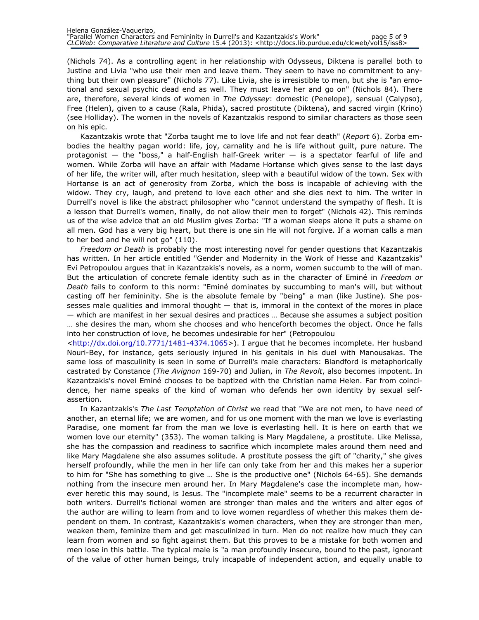(Nichols 74). As a controlling agent in her relationship with Odysseus, Diktena is parallel both to Justine and Livia "who use their men and leave them. They seem to have no commitment to anything but their own pleasure" (Nichols 77). Like Livia, she is irresistible to men, but she is "an emotional and sexual psychic dead end as well. They must leave her and go on" (Nichols 84). There are, therefore, several kinds of women in The Odyssey: domestic (Penelope), sensual (Calypso), Free (Helen), given to a cause (Rala, Phida), sacred prostitute (Diktena), and sacred virgin (Krino) (see Holliday). The women in the novels of Kazantzakis respond to similar characters as those seen on his epic.

Kazantzakis wrote that "Zorba taught me to love life and not fear death" (Report 6). Zorba embodies the healthy pagan world: life, joy, carnality and he is life without guilt, pure nature. The protagonist — the "boss," a half-English half-Greek writer — is a spectator fearful of life and women. While Zorba will have an affair with Madame Hortanse which gives sense to the last days of her life, the writer will, after much hesitation, sleep with a beautiful widow of the town. Sex with Hortanse is an act of generosity from Zorba, which the boss is incapable of achieving with the widow. They cry, laugh, and pretend to love each other and she dies next to him. The writer in Durrell's novel is like the abstract philosopher who "cannot understand the sympathy of flesh. It is a lesson that Durrell's women, finally, do not allow their men to forget" (Nichols 42). This reminds us of the wise advice that an old Muslim gives Zorba: "If a woman sleeps alone it puts a shame on all men. God has a very big heart, but there is one sin He will not forgive. If a woman calls a man to her bed and he will not go" (110).

Freedom or Death is probably the most interesting novel for gender questions that Kazantzakis has written. In her article entitled "Gender and Modernity in the Work of Hesse and Kazantzakis" Evi Petropoulou argues that in Kazantzakis's novels, as a norm, women succumb to the will of man. But the articulation of concrete female identity such as in the character of Eminé in Freedom or Death fails to conform to this norm: "Eminé dominates by succumbing to man's will, but without casting off her femininity. She is the absolute female by "being" a man (like Justine). She possesses male qualities and immoral thought — that is, immoral in the context of the mores in place — which are manifest in her sexual desires and practices … Because she assumes a subject position … she desires the man, whom she chooses and who henceforth becomes the object. Once he falls into her construction of love, he becomes undesirable for her" (Petropoulou

<http://dx.doi.org/10.7771/1481-4374.1065>). I argue that he becomes incomplete. Her husband Nouri-Bey, for instance, gets seriously injured in his genitals in his duel with Manousakas. The same loss of masculinity is seen in some of Durrell's male characters: Blandford is metaphorically castrated by Constance (The Avignon 169-70) and Julian, in The Revolt, also becomes impotent. In Kazantzakis's novel Eminé chooses to be baptized with the Christian name Helen. Far from coincidence, her name speaks of the kind of woman who defends her own identity by sexual selfassertion.

In Kazantzakis's The Last Temptation of Christ we read that "We are not men, to have need of another, an eternal life; we are women, and for us one moment with the man we love is everlasting Paradise, one moment far from the man we love is everlasting hell. It is here on earth that we women love our eternity" (353). The woman talking is Mary Magdalene, a prostitute. Like Melissa, she has the compassion and readiness to sacrifice which incomplete males around them need and like Mary Magdalene she also assumes solitude. A prostitute possess the gift of "charity," she gives herself profoundly, while the men in her life can only take from her and this makes her a superior to him for "She has something to give … She is the productive one" (Nichols 64-65). She demands nothing from the insecure men around her. In Mary Magdalene's case the incomplete man, however heretic this may sound, is Jesus. The "incomplete male" seems to be a recurrent character in both writers. Durrell's fictional women are stronger than males and the writers and alter egos of the author are willing to learn from and to love women regardless of whether this makes them dependent on them. In contrast, Kazantzakis's women characters, when they are stronger than men, weaken them, feminize them and get masculinized in turn. Men do not realize how much they can learn from women and so fight against them. But this proves to be a mistake for both women and men lose in this battle. The typical male is "a man profoundly insecure, bound to the past, ignorant of the value of other human beings, truly incapable of independent action, and equally unable to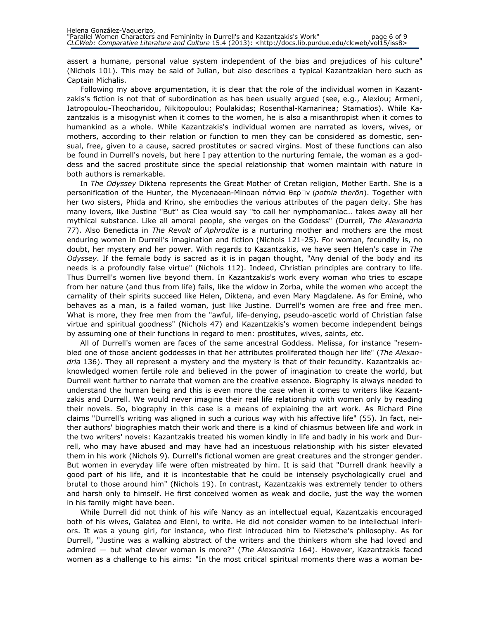assert a humane, personal value system independent of the bias and prejudices of his culture" (Nichols 101). This may be said of Julian, but also describes a typical Kazantzakian hero such as Captain Michalis.

Following my above argumentation, it is clear that the role of the individual women in Kazantzakis's fiction is not that of subordination as has been usually argued (see, e.g., Alexiou; Armeni, Iatropoulou-Theocharidou, Nikitopoulou; Poulakidas; Rosenthal-Kamarinea; Stamatios). While Kazantzakis is a misogynist when it comes to the women, he is also a misanthropist when it comes to humankind as a whole. While Kazantzakis's individual women are narrated as lovers, wives, or mothers, according to their relation or function to men they can be considered as domestic, sensual, free, given to a cause, sacred prostitutes or sacred virgins. Most of these functions can also be found in Durrell's novels, but here I pay attention to the nurturing female, the woman as a goddess and the sacred prostitute since the special relationship that women maintain with nature in both authors is remarkable.

In The Odyssey Diktena represents the Great Mother of Cretan religion, Mother Earth. She is a personification of the Hunter, the Mycenaean-Minoan πότνια θερΩν (potnia therōn). Together with her two sisters, Phida and Krino, she embodies the various attributes of the pagan deity. She has many lovers, like Justine "But" as Clea would say "to call her nymphomaniac… takes away all her mythical substance. Like all amoral people, she verges on the Goddess" (Durrell, The Alexandria 77). Also Benedicta in The Revolt of Aphrodite is a nurturing mother and mothers are the most enduring women in Durrell's imagination and fiction (Nichols 121-25). For woman, fecundity is, no doubt, her mystery and her power. With regards to Kazantzakis, we have seen Helen's case in The Odyssey. If the female body is sacred as it is in pagan thought, "Any denial of the body and its needs is a profoundly false virtue" (Nichols 112). Indeed, Christian principles are contrary to life. Thus Durrell's women live beyond them. In Kazantzakis's work every woman who tries to escape from her nature (and thus from life) fails, like the widow in Zorba, while the women who accept the carnality of their spirits succeed like Helen, Diktena, and even Mary Magdalene. As for Eminé, who behaves as a man, is a failed woman, just like Justine. Durrell's women are free and free men. What is more, they free men from the "awful, life-denying, pseudo-ascetic world of Christian false virtue and spiritual goodness" (Nichols 47) and Kazantzakis's women become independent beings by assuming one of their functions in regard to men: prostitutes, wives, saints, etc.

All of Durrell's women are faces of the same ancestral Goddess. Melissa, for instance "resembled one of those ancient goddesses in that her attributes proliferated though her life" (The Alexandria 136). They all represent a mystery and the mystery is that of their fecundity. Kazantzakis acknowledged women fertile role and believed in the power of imagination to create the world, but Durrell went further to narrate that women are the creative essence. Biography is always needed to understand the human being and this is even more the case when it comes to writers like Kazantzakis and Durrell. We would never imagine their real life relationship with women only by reading their novels. So, biography in this case is a means of explaining the art work. As Richard Pine claims "Durrell's writing was aligned in such a curious way with his affective life" (55). In fact, neither authors' biographies match their work and there is a kind of chiasmus between life and work in the two writers' novels: Kazantzakis treated his women kindly in life and badly in his work and Durrell, who may have abused and may have had an incestuous relationship with his sister elevated them in his work (Nichols 9). Durrell's fictional women are great creatures and the stronger gender. But women in everyday life were often mistreated by him. It is said that "Durrell drank heavily a good part of his life, and it is incontestable that he could be intensely psychologically cruel and brutal to those around him" (Nichols 19). In contrast, Kazantzakis was extremely tender to others and harsh only to himself. He first conceived women as weak and docile, just the way the women in his family might have been.

While Durrell did not think of his wife Nancy as an intellectual equal, Kazantzakis encouraged both of his wives, Galatea and Eleni, to write. He did not consider women to be intellectual inferiors. It was a young girl, for instance, who first introduced him to Nietzsche's philosophy. As for Durrell, "Justine was a walking abstract of the writers and the thinkers whom she had loved and admired — but what clever woman is more?" (The Alexandria 164). However, Kazantzakis faced women as a challenge to his aims: "In the most critical spiritual moments there was a woman be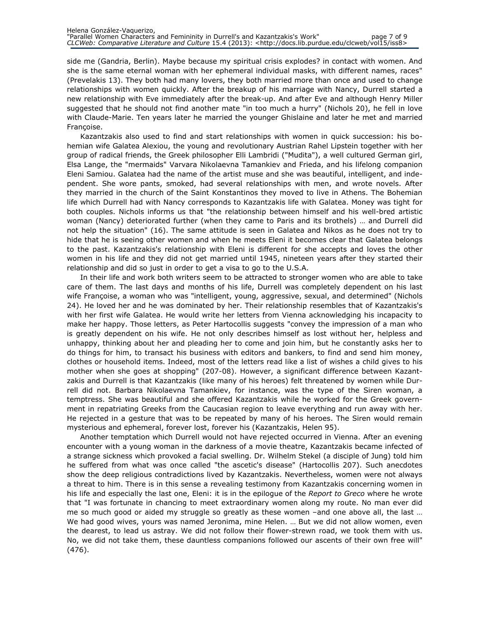side me (Gandria, Berlin). Maybe because my spiritual crisis explodes? in contact with women. And she is the same eternal woman with her ephemeral individual masks, with different names, races" (Prevelakis 13). They both had many lovers, they both married more than once and used to change relationships with women quickly. After the breakup of his marriage with Nancy, Durrell started a new relationship with Eve immediately after the break-up. And after Eve and although Henry Miller suggested that he should not find another mate "in too much a hurry" (Nichols 20), he fell in love with Claude-Marie. Ten years later he married the younger Ghislaine and later he met and married Françoise.

Kazantzakis also used to find and start relationships with women in quick succession: his bohemian wife Galatea Alexiou, the young and revolutionary Austrian Rahel Lipstein together with her group of radical friends, the Greek philosopher Elli Lambridi ("Mudita"), a well cultured German girl, Elsa Lange, the "mermaids" Varvara Nikolaevna Tamankiev and Frieda, and his lifelong companion Eleni Samiou. Galatea had the name of the artist muse and she was beautiful, intelligent, and independent. She wore pants, smoked, had several relationships with men, and wrote novels. After they married in the church of the Saint Konstantinos they moved to live in Athens. The Bohemian life which Durrell had with Nancy corresponds to Kazantzakis life with Galatea. Money was tight for both couples. Nichols informs us that "the relationship between himself and his well-bred artistic woman (Nancy) deteriorated further (when they came to Paris and its brothels) … and Durrell did not help the situation" (16). The same attitude is seen in Galatea and Nikos as he does not try to hide that he is seeing other women and when he meets Eleni it becomes clear that Galatea belongs to the past. Kazantzakis's relationship with Eleni is different for she accepts and loves the other women in his life and they did not get married until 1945, nineteen years after they started their relationship and did so just in order to get a visa to go to the U.S.A.

In their life and work both writers seem to be attracted to stronger women who are able to take care of them. The last days and months of his life, Durrell was completely dependent on his last wife Françoise, a woman who was "intelligent, young, aggressive, sexual, and determined" (Nichols 24). He loved her and he was dominated by her. Their relationship resembles that of Kazantzakis's with her first wife Galatea. He would write her letters from Vienna acknowledging his incapacity to make her happy. Those letters, as Peter Hartocollis suggests "convey the impression of a man who is greatly dependent on his wife. He not only describes himself as lost without her, helpless and unhappy, thinking about her and pleading her to come and join him, but he constantly asks her to do things for him, to transact his business with editors and bankers, to find and send him money, clothes or household items. Indeed, most of the letters read like a list of wishes a child gives to his mother when she goes at shopping" (207-08). However, a significant difference between Kazantzakis and Durrell is that Kazantzakis (like many of his heroes) felt threatened by women while Durrell did not. Barbara Nikolaevna Tamankiev, for instance, was the type of the Siren woman, a temptress. She was beautiful and she offered Kazantzakis while he worked for the Greek government in repatriating Greeks from the Caucasian region to leave everything and run away with her. He rejected in a gesture that was to be repeated by many of his heroes. The Siren would remain mysterious and ephemeral, forever lost, forever his (Kazantzakis, Helen 95).

Another temptation which Durrell would not have rejected occurred in Vienna. After an evening encounter with a young woman in the darkness of a movie theatre, Kazantzakis became infected of a strange sickness which provoked a facial swelling. Dr. Wilhelm Stekel (a disciple of Jung) told him he suffered from what was once called "the ascetic's disease" (Hartocollis 207). Such anecdotes show the deep religious contradictions lived by Kazantzakis. Nevertheless, women were not always a threat to him. There is in this sense a revealing testimony from Kazantzakis concerning women in his life and especially the last one, Eleni: it is in the epilogue of the Report to Greco where he wrote that "I was fortunate in chancing to meet extraordinary women along my route. No man ever did me so much good or aided my struggle so greatly as these women –and one above all, the last … We had good wives, yours was named Jeronima, mine Helen. … But we did not allow women, even the dearest, to lead us astray. We did not follow their flower-strewn road, we took them with us. No, we did not take them, these dauntless companions followed our ascents of their own free will" (476).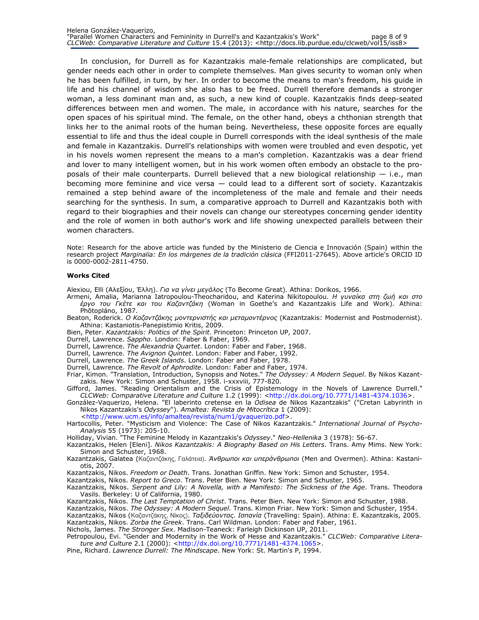In conclusion, for Durrell as for Kazantzakis male-female relationships are complicated, but gender needs each other in order to complete themselves. Man gives security to woman only when he has been fulfilled, in turn, by her. In order to become the means to man's freedom, his guide in life and his channel of wisdom she also has to be freed. Durrell therefore demands a stronger woman, a less dominant man and, as such, a new kind of couple. Kazantzakis finds deep-seated differences between men and women. The male, in accordance with his nature, searches for the open spaces of his spiritual mind. The female, on the other hand, obeys a chthonian strength that links her to the animal roots of the human being. Nevertheless, these opposite forces are equally essential to life and thus the ideal couple in Durrell corresponds with the ideal synthesis of the male and female in Kazantzakis. Durrell's relationships with women were troubled and even despotic, yet in his novels women represent the means to a man's completion. Kazantzakis was a dear friend and lover to many intelligent women, but in his work women often embody an obstacle to the proposals of their male counterparts. Durrell believed that a new biological relationship  $-$  i.e., man becoming more feminine and vice versa — could lead to a different sort of society. Kazantzakis remained a step behind aware of the incompleteness of the male and female and their needs searching for the synthesis. In sum, a comparative approach to Durrell and Kazantzakis both with regard to their biographies and their novels can change our stereotypes concerning gender identity and the role of women in both author's work and life showing unexpected parallels between their women characters.

Note: Research for the above article was funded by the Ministerio de Ciencia e Innovación (Spain) within the research project Marginalia: En los márgenes de la tradición clásica (FFI2011-27645). Above article's ORCID ID is 0000-0002-2811-4750.

#### Works Cited

Alexiou, Elli (Αλεξίου, Έλλη). Για να γίνει μεγάλος (Το Become Great). Athina: Dorikos, 1966.

- Armeni, Amalia, Marianna Iatropoulou-Theocharidou, and Katerina Nikitopoulou. Η γυναίκα στη ζωή και στο έργο του Γκέτε και του Καζαντζάκη (Woman in Goethe's and Kazantzakis Life and Work). Athina: Phōtopláno, 1987.
- Beaton, Roderick. Ο Καζαντζάκης μοντερνιστής και μεταμοντέρνος (Kazantzakis: Modernist and Postmodernist). Athina: Kastaniotis-Panepistimio Kritis, 2009.
- Bien, Peter. Kazantzakis: Politics of the Spirit. Princeton: Princeton UP, 2007.
- Durrell, Lawrence. Sappho. London: Faber & Faber, 1969.
- Durrell, Lawrence. The Alexandria Quartet. London: Faber and Faber, 1968.
- Durrell, Lawrence. The Avignon Quintet. London: Faber and Faber, 1992.
- Durrell, Lawrence. The Greek Islands. London: Faber and Faber, 1978.
- Durrell, Lawrence. The Revolt of Aphrodite. London: Faber and Faber, 1974.
- Friar, Kimon. "Translation, Introduction, Synopsis and Notes." The Odyssey: A Modern Sequel. By Nikos Kazantzakis. New York: Simon and Schuster, 1958. i-xxxviii, 777-820.
- Gifford, James. "Reading Orientalism and the Crisis of Epistemology in the Novels of Lawrence Durrell." CLCWeb: Comparative Literature and Culture 1.2 (1999): <http://dx.doi.org/10.7771/1481-4374.1036>.
- González-Vaquerizo, Helena. "El laberinto cretense en la Odisea de Nikos Kazantzakis" ("Cretan Labyrinth in Nikos Kazantzakis's Odyssey"). Amaltea: Revista de Mitocrítica 1 (2009):

<http://www.ucm.es/info/amaltea/revista/num1/gvaquerizo.pdf>.

- Hartocollis, Peter. "Mysticism and Violence: The Case of Nikos Kazantzakis." International Journal of Psycho-Analysis 55 (1973): 205-10.
- Holliday, Vivian. "The Feminine Melody in Kazantzakis's Odyssey." Neo-Hellenika 3 (1978): 56-67.
- Kazantzakis, Helen [Eleni]. Nikos Kazantzakis: A Biography Based on His Letters. Trans. Amy Mims. New York: Simon and Schuster, 1968.
- Kazantzakis, Galatea (Καζαντζάκης, Γαλάτεια). Άνθρωποι και υπεράνθρωποι (Men and Overmen). Athina: Kastaniotis, 2007.
- Kazantzakis, Nikos. Freedom or Death. Trans. Jonathan Griffin. New York: Simon and Schuster, 1954.
- Kazantzakis, Nikos. Report to Greco. Trans. Peter Bien. New York: Simon and Schuster, 1965.
- Kazantzakis, Nikos. Serpent and Lily: A Novella, with a Manifesto: The Sickness of the Age. Trans. Theodora Vasils. Berkeley: U of California, 1980.
- Kazantzakis, Nikos. The Last Temptation of Christ. Trans. Peter Bien. New York: Simon and Schuster, 1988.
- Kazantzakis, Nikos. The Odyssey: A Modern Sequel. Trans. Kimon Friar. New York: Simon and Schuster, 1954.
- Kazantzakis, Nikos (Καζαντζάκης, Νίκος). Ταξιδεύοντας. Ισπανία (Travelling: Spain). Athina: E. Kazantzakis, 2005. Kazantzakis, Nikos. Zorba the Greek. Trans. Carl Wildman. London: Faber and Faber, 1961.
- Nichols, James. The Stronger Sex. Madison-Teaneck: Farleigh Dickinson UP, 2011.
- Petropoulou, Evi. "Gender and Modernity in the Work of Hesse and Kazantzakis." CLCWeb: Comparative Literature and Culture 2.1 (2000): <http://dx.doi.org/10.7771/1481-4374.1065>.
- Pine, Richard. Lawrence Durrell: The Mindscape. New York: St. Martin's P, 1994.